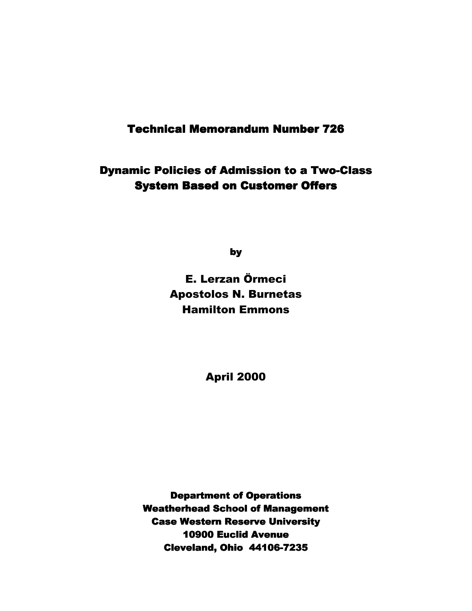## **Technical Memorandum Number 726**

Dynamic Policies of Admission to a Two-Class **System Based on Customer Offers** 

by

E. Lerzan Örmeci Apostolos N. Burnetas Hamilton Emmons

April 2000

**Department of Operations Weatherhead School of Management Case Western Reserve University** 10900 Euclid Avenue Cleveland, Ohio 44106-7235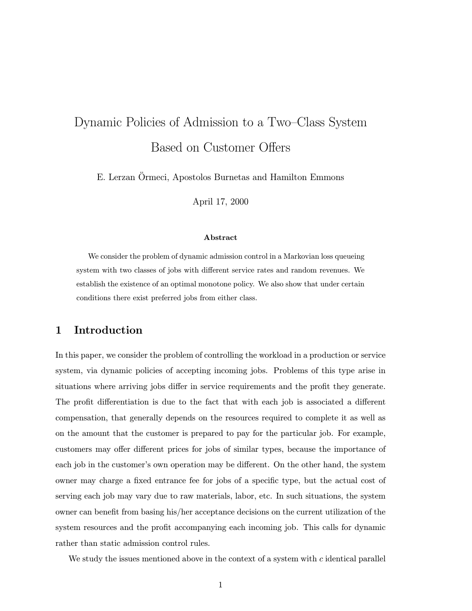# Dynamic Policies of Admission to a Two–Class System Based on Customer Offers

E. Lerzan Ormeci, Apostolos Burnetas and Hamilton Emmons

April 17, 2000

#### Abstract

We consider the problem of dynamic admission control in a Markovian loss queueing system with two classes of jobs with different service rates and random revenues. We establish the existence of an optimal monotone policy. We also show that under certain conditions there exist preferred jobs from either class.

## 1 Introduction

In this paper, we consider the problem of controlling the workload in a production or service system, via dynamic policies of accepting incoming jobs. Problems of this type arise in situations where arriving jobs differ in service requirements and the profit they generate. The profit differentiation is due to the fact that with each job is associated a different compensation, that generally depends on the resources required to complete it as well as on the amount that the customer is prepared to pay for the particular job. For example, customers may offer different prices for jobs of similar types, because the importance of each job in the customer's own operation may be different. On the other hand, the system owner may charge a fixed entrance fee for jobs of a specific type, but the actual cost of serving each job may vary due to raw materials, labor, etc. In such situations, the system owner can benefit from basing his/her acceptance decisions on the current utilization of the system resources and the profit accompanying each incoming job. This calls for dynamic rather than static admission control rules.

We study the issues mentioned above in the context of a system with  $c$  identical parallel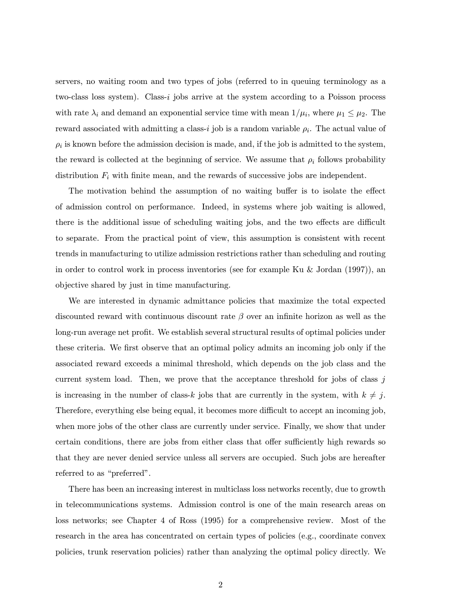servers, no waiting room and two types of jobs (referred to in queuing terminology as a two-class loss system). Class-i jobs arrive at the system according to a Poisson process with rate  $\lambda_i$  and demand an exponential service time with mean  $1/\mu_i$ , where  $\mu_1 \leq \mu_2$ . The reward associated with admitting a class-i job is a random variable  $\rho_i$ . The actual value of  $\rho_i$  is known before the admission decision is made, and, if the job is admitted to the system, the reward is collected at the beginning of service. We assume that  $\rho_i$  follows probability distribution  $F_i$  with finite mean, and the rewards of successive jobs are independent.

The motivation behind the assumption of no waiting buffer is to isolate the effect of admission control on performance. Indeed, in systems where job waiting is allowed, there is the additional issue of scheduling waiting jobs, and the two effects are difficult to separate. From the practical point of view, this assumption is consistent with recent trends in manufacturing to utilize admission restrictions rather than scheduling and routing in order to control work in process inventories (see for example Ku & Jordan (1997)), an objective shared by just in time manufacturing.

We are interested in dynamic admittance policies that maximize the total expected discounted reward with continuous discount rate  $\beta$  over an infinite horizon as well as the long-run average net profit. We establish several structural results of optimal policies under these criteria. We first observe that an optimal policy admits an incoming job only if the associated reward exceeds a minimal threshold, which depends on the job class and the current system load. Then, we prove that the acceptance threshold for jobs of class  $j$ is increasing in the number of class-k jobs that are currently in the system, with  $k \neq j$ . Therefore, everything else being equal, it becomes more difficult to accept an incoming job, when more jobs of the other class are currently under service. Finally, we show that under certain conditions, there are jobs from either class that offer sufficiently high rewards so that they are never denied service unless all servers are occupied. Such jobs are hereafter referred to as "preferred".

There has been an increasing interest in multiclass loss networks recently, due to growth in telecommunications systems. Admission control is one of the main research areas on loss networks; see Chapter 4 of Ross (1995) for a comprehensive review. Most of the research in the area has concentrated on certain types of policies (e.g., coordinate convex policies, trunk reservation policies) rather than analyzing the optimal policy directly. We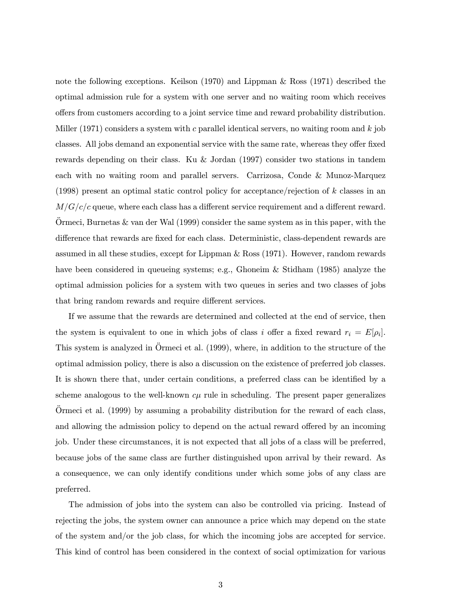note the following exceptions. Keilson (1970) and Lippman & Ross (1971) described the optimal admission rule for a system with one server and no waiting room which receives offers from customers according to a joint service time and reward probability distribution. Miller (1971) considers a system with c parallel identical servers, no waiting room and  $k$  job classes. All jobs demand an exponential service with the same rate, whereas they offer fixed rewards depending on their class. Ku & Jordan (1997) consider two stations in tandem each with no waiting room and parallel servers. Carrizosa, Conde & Munoz-Marquez (1998) present an optimal static control policy for acceptance/rejection of k classes in an  $M/G/c/c$  queue, where each class has a different service requirement and a different reward. Ormeci, Burnetas  $\&$  van der Wal (1999) consider the same system as in this paper, with the difference that rewards are fixed for each class. Deterministic, class-dependent rewards are assumed in all these studies, except for Lippman & Ross (1971). However, random rewards have been considered in queueing systems; e.g., Ghoneim & Stidham (1985) analyze the optimal admission policies for a system with two queues in series and two classes of jobs that bring random rewards and require different services.

If we assume that the rewards are determined and collected at the end of service, then the system is equivalent to one in which jobs of class i offer a fixed reward  $r_i = E[\rho_i]$ . This system is analyzed in Örmeci et al. (1999), where, in addition to the structure of the optimal admission policy, there is also a discussion on the existence of preferred job classes. It is shown there that, under certain conditions, a preferred class can be identified by a scheme analogous to the well-known  $c\mu$  rule in scheduling. The present paper generalizes Ormeci et al.  $(1999)$  by assuming a probability distribution for the reward of each class, and allowing the admission policy to depend on the actual reward offered by an incoming job. Under these circumstances, it is not expected that all jobs of a class will be preferred, because jobs of the same class are further distinguished upon arrival by their reward. As a consequence, we can only identify conditions under which some jobs of any class are preferred.

The admission of jobs into the system can also be controlled via pricing. Instead of rejecting the jobs, the system owner can announce a price which may depend on the state of the system and/or the job class, for which the incoming jobs are accepted for service. This kind of control has been considered in the context of social optimization for various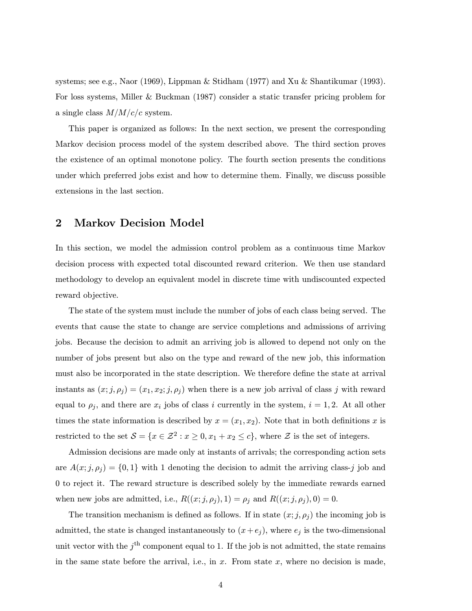systems; see e.g., Naor (1969), Lippman & Stidham (1977) and Xu & Shantikumar (1993). For loss systems, Miller & Buckman (1987) consider a static transfer pricing problem for a single class  $M/M/c/c$  system.

This paper is organized as follows: In the next section, we present the corresponding Markov decision process model of the system described above. The third section proves the existence of an optimal monotone policy. The fourth section presents the conditions under which preferred jobs exist and how to determine them. Finally, we discuss possible extensions in the last section.

### 2 Markov Decision Model

In this section, we model the admission control problem as a continuous time Markov decision process with expected total discounted reward criterion. We then use standard methodology to develop an equivalent model in discrete time with undiscounted expected reward objective.

The state of the system must include the number of jobs of each class being served. The events that cause the state to change are service completions and admissions of arriving jobs. Because the decision to admit an arriving job is allowed to depend not only on the number of jobs present but also on the type and reward of the new job, this information must also be incorporated in the state description. We therefore define the state at arrival instants as  $(x; j, \rho_j) = (x_1, x_2; j, \rho_j)$  when there is a new job arrival of class j with reward equal to  $\rho_j$ , and there are  $x_i$  jobs of class i currently in the system,  $i = 1, 2$ . At all other times the state information is described by  $x = (x_1, x_2)$ . Note that in both definitions x is restricted to the set  $S = \{x \in \mathbb{Z}^2 : x \ge 0, x_1 + x_2 \le c\}$ , where  $\mathbb Z$  is the set of integers.

Admission decisions are made only at instants of arrivals; the corresponding action sets are  $A(x; j, \rho_j) = \{0, 1\}$  with 1 denoting the decision to admit the arriving class-j job and 0 to reject it. The reward structure is described solely by the immediate rewards earned when new jobs are admitted, i.e.,  $R((x;j,\rho_j),1) = \rho_j$  and  $R((x;j,\rho_j),0) = 0$ .

The transition mechanism is defined as follows. If in state  $(x, j, \rho_j)$  the incoming job is admitted, the state is changed instantaneously to  $(x+e_j)$ , where  $e_j$  is the two-dimensional unit vector with the  $j<sup>th</sup>$  component equal to 1. If the job is not admitted, the state remains in the same state before the arrival, i.e., in  $x$ . From state  $x$ , where no decision is made,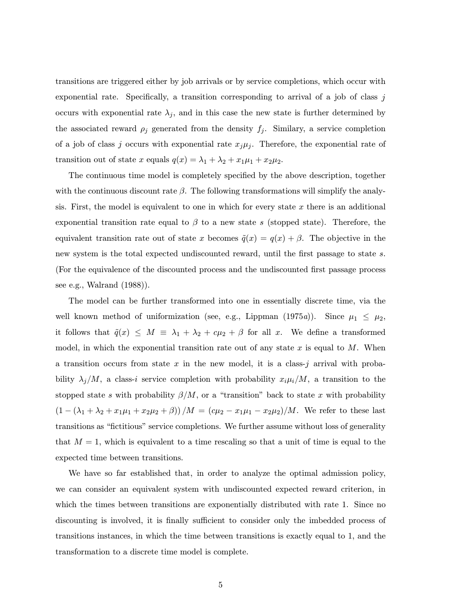transitions are triggered either by job arrivals or by service completions, which occur with exponential rate. Specifically, a transition corresponding to arrival of a job of class  $j$ occurs with exponential rate  $\lambda_j$ , and in this case the new state is further determined by the associated reward  $\rho_j$  generated from the density  $f_j$ . Similary, a service completion of a job of class j occurs with exponential rate  $x_j\mu_j$ . Therefore, the exponential rate of transition out of state x equals  $q(x) = \lambda_1 + \lambda_2 + x_1\mu_1 + x_2\mu_2$ .

The continuous time model is completely specified by the above description, together with the continuous discount rate  $\beta$ . The following transformations will simplify the analysis. First, the model is equivalent to one in which for every state  $x$  there is an additional exponential transition rate equal to  $\beta$  to a new state s (stopped state). Therefore, the equivalent transition rate out of state x becomes  $\tilde{q}(x) = q(x) + \beta$ . The objective in the new system is the total expected undiscounted reward, until the first passage to state s. (For the equivalence of the discounted process and the undiscounted first passage process see e.g., Walrand (1988)).

The model can be further transformed into one in essentially discrete time, via the well known method of uniformization (see, e.g., Lippman (1975a)). Since  $\mu_1 \leq \mu_2$ , it follows that  $\tilde{q}(x) \leq M \equiv \lambda_1 + \lambda_2 + c\mu_2 + \beta$  for all x. We define a transformed model, in which the exponential transition rate out of any state x is equal to  $M$ . When a transition occurs from state x in the new model, it is a class-j arrival with probability  $\lambda_j/M$ , a class-i service completion with probability  $x_i\mu_i/M$ , a transition to the stopped state s with probability  $\beta/M$ , or a "transition" back to state x with probability  $(1 - (\lambda_1 + \lambda_2 + x_1\mu_1 + x_2\mu_2 + \beta))/M = (c\mu_2 - x_1\mu_1 - x_2\mu_2)/M$ . We refer to these last transitions as "fictitious" service completions. We further assume without loss of generality that  $M = 1$ , which is equivalent to a time rescaling so that a unit of time is equal to the expected time between transitions.

We have so far established that, in order to analyze the optimal admission policy, we can consider an equivalent system with undiscounted expected reward criterion, in which the times between transitions are exponentially distributed with rate 1. Since no discounting is involved, it is finally sufficient to consider only the imbedded process of transitions instances, in which the time between transitions is exactly equal to 1, and the transformation to a discrete time model is complete.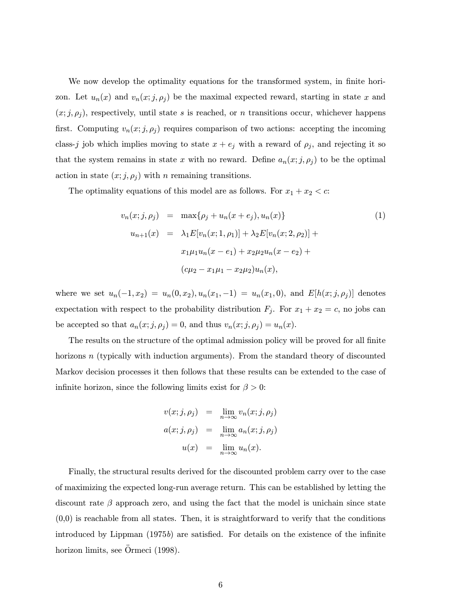We now develop the optimality equations for the transformed system, in finite horizon. Let  $u_n(x)$  and  $v_n(x; j, \rho_j)$  be the maximal expected reward, starting in state x and  $(x; j, \rho_j)$ , respectively, until state s is reached, or n transitions occur, whichever happens first. Computing  $v_n(x; j, \rho_j)$  requires comparison of two actions: accepting the incoming class-j job which implies moving to state  $x + e_j$  with a reward of  $\rho_j$ , and rejecting it so that the system remains in state x with no reward. Define  $a_n(x; j, \rho_j)$  to be the optimal action in state  $(x; j, \rho_j)$  with *n* remaining transitions.

The optimality equations of this model are as follows. For  $x_1 + x_2 < c$ :

$$
v_n(x;j,\rho_j) = \max\{\rho_j + u_n(x+e_j), u_n(x)\}
$$
(1)  

$$
u_{n+1}(x) = \lambda_1 E[v_n(x; 1, \rho_1)] + \lambda_2 E[v_n(x; 2, \rho_2)] +
$$
  

$$
x_1 \mu_1 u_n(x-e_1) + x_2 \mu_2 u_n(x-e_2) +
$$
  

$$
(c\mu_2 - x_1 \mu_1 - x_2 \mu_2) u_n(x),
$$

where we set  $u_n(-1, x_2) = u_n(0, x_2), u_n(x_1, -1) = u_n(x_1, 0),$  and  $E[h(x; j, \rho_j)]$  denotes expectation with respect to the probability distribution  $F_j$ . For  $x_1 + x_2 = c$ , no jobs can be accepted so that  $a_n(x; j, \rho_j) = 0$ , and thus  $v_n(x; j, \rho_j) = u_n(x)$ .

The results on the structure of the optimal admission policy will be proved for all finite horizons  $n$  (typically with induction arguments). From the standard theory of discounted Markov decision processes it then follows that these results can be extended to the case of infinite horizon, since the following limits exist for  $\beta > 0$ :

$$
v(x;j,\rho_j) = \lim_{n \to \infty} v_n(x;j,\rho_j)
$$
  

$$
a(x;j,\rho_j) = \lim_{n \to \infty} a_n(x;j,\rho_j)
$$
  

$$
u(x) = \lim_{n \to \infty} u_n(x).
$$

Finally, the structural results derived for the discounted problem carry over to the case of maximizing the expected long-run average return. This can be established by letting the discount rate  $\beta$  approach zero, and using the fact that the model is unichain since state  $(0,0)$  is reachable from all states. Then, it is straightforward to verify that the conditions introduced by Lippman  $(1975b)$  are satisfied. For details on the existence of the infinite horizon limits, see Ormeci (1998).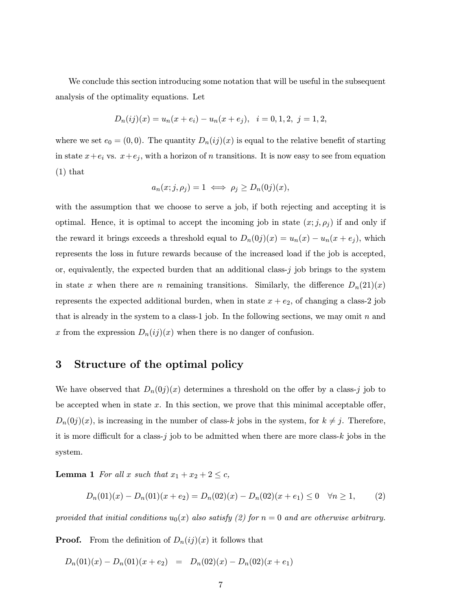We conclude this section introducing some notation that will be useful in the subsequent analysis of the optimality equations. Let

$$
D_n(ij)(x) = u_n(x + e_i) - u_n(x + e_j), \quad i = 0, 1, 2, j = 1, 2,
$$

where we set  $e_0 = (0, 0)$ . The quantity  $D_n(ij)(x)$  is equal to the relative benefit of starting in state  $x+e_i$  vs.  $x+e_j$ , with a horizon of n transitions. It is now easy to see from equation (1) that

$$
a_n(x;j,\rho_j)=1 \iff \rho_j \ge D_n(0j)(x),
$$

with the assumption that we choose to serve a job, if both rejecting and accepting it is optimal. Hence, it is optimal to accept the incoming job in state  $(x; j, \rho_i)$  if and only if the reward it brings exceeds a threshold equal to  $D_n(0j)(x) = u_n(x) - u_n(x + e_j)$ , which represents the loss in future rewards because of the increased load if the job is accepted, or, equivalently, the expected burden that an additional class- $j$  job brings to the system in state x when there are n remaining transitions. Similarly, the difference  $D_n(21)(x)$ represents the expected additional burden, when in state  $x + e_2$ , of changing a class-2 job that is already in the system to a class-1 job. In the following sections, we may omit  $n$  and x from the expression  $D_n(ij)(x)$  when there is no danger of confusion.

## 3 Structure of the optimal policy

We have observed that  $D_n(0j)(x)$  determines a threshold on the offer by a class-j job to be accepted when in state  $x$ . In this section, we prove that this minimal acceptable offer,  $D_n(0j)(x)$ , is increasing in the number of class-k jobs in the system, for  $k \neq j$ . Therefore, it is more difficult for a class- $j$  job to be admitted when there are more class- $k$  jobs in the system.

**Lemma 1** For all x such that  $x_1 + x_2 + 2 \leq c$ ,

$$
D_n(01)(x) - D_n(01)(x + e_2) = D_n(02)(x) - D_n(02)(x + e_1) \le 0 \quad \forall n \ge 1,
$$
 (2)

provided that initial conditions  $u_0(x)$  also satisfy (2) for  $n = 0$  and are otherwise arbitrary.

**Proof.** From the definition of  $D_n(ij)(x)$  it follows that

$$
D_n(01)(x) - D_n(01)(x + e_2) = D_n(02)(x) - D_n(02)(x + e_1)
$$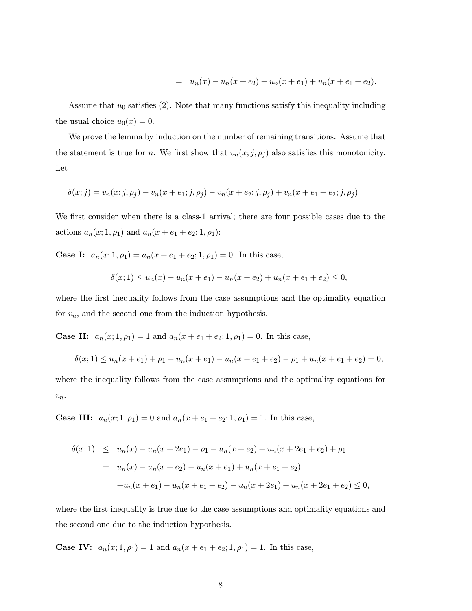$$
= u_n(x) - u_n(x + e_2) - u_n(x + e_1) + u_n(x + e_1 + e_2).
$$

Assume that  $u_0$  satisfies (2). Note that many functions satisfy this inequality including the usual choice  $u_0(x) = 0$ .

We prove the lemma by induction on the number of remaining transitions. Assume that the statement is true for n. We first show that  $v_n(x; j, \rho_j)$  also satisfies this monotonicity. Let

$$
\delta(x; j) = v_n(x; j, \rho_j) - v_n(x + e_1; j, \rho_j) - v_n(x + e_2; j, \rho_j) + v_n(x + e_1 + e_2; j, \rho_j)
$$

We first consider when there is a class-1 arrival; there are four possible cases due to the actions  $a_n(x; 1, \rho_1)$  and  $a_n(x + e_1 + e_2; 1, \rho_1)$ :

**Case I:**  $a_n(x; 1, \rho_1) = a_n(x + e_1 + e_2; 1, \rho_1) = 0$ . In this case,

$$
\delta(x;1) \le u_n(x) - u_n(x+e_1) - u_n(x+e_2) + u_n(x+e_1+e_2) \le 0,
$$

where the first inequality follows from the case assumptions and the optimality equation for  $v_n$ , and the second one from the induction hypothesis.

**Case II:**  $a_n(x; 1, \rho_1) = 1$  and  $a_n(x + e_1 + e_2; 1, \rho_1) = 0$ . In this case,

$$
\delta(x;1) \le u_n(x+e_1) + \rho_1 - u_n(x+e_1) - u_n(x+e_1+e_2) - \rho_1 + u_n(x+e_1+e_2) = 0,
$$

where the inequality follows from the case assumptions and the optimality equations for  $v_n$ .

**Case III:**  $a_n(x; 1, \rho_1) = 0$  and  $a_n(x + e_1 + e_2; 1, \rho_1) = 1$ . In this case,

$$
\delta(x;1) \leq u_n(x) - u_n(x+2e_1) - \rho_1 - u_n(x+e_2) + u_n(x+2e_1+e_2) + \rho_1
$$
  
=  $u_n(x) - u_n(x+e_2) - u_n(x+e_1) + u_n(x+e_1+e_2)$   
+  $u_n(x+e_1) - u_n(x+e_1+e_2) - u_n(x+2e_1) + u_n(x+2e_1+e_2) \leq 0,$ 

where the first inequality is true due to the case assumptions and optimality equations and the second one due to the induction hypothesis.

**Case IV:**  $a_n(x; 1, \rho_1) = 1$  and  $a_n(x + e_1 + e_2; 1, \rho_1) = 1$ . In this case,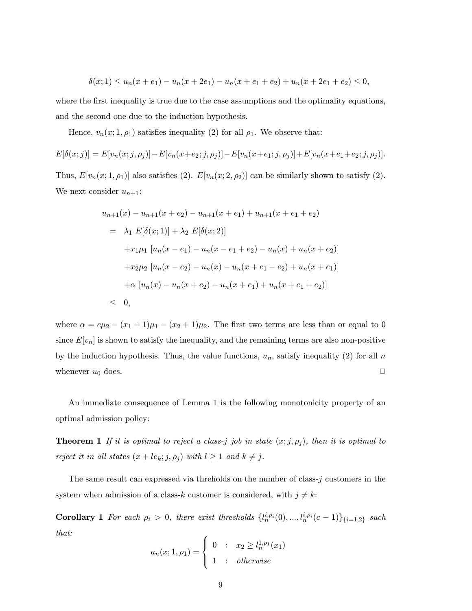$$
\delta(x;1) \le u_n(x+e_1) - u_n(x+2e_1) - u_n(x+e_1+e_2) + u_n(x+2e_1+e_2) \le 0,
$$

where the first inequality is true due to the case assumptions and the optimality equations, and the second one due to the induction hypothesis.

Hence,  $v_n(x; 1, \rho_1)$  satisfies inequality (2) for all  $\rho_1$ . We observe that:

$$
E[\delta(x;j)] = E[v_n(x;j,\rho_j)] - E[v_n(x+e_2;j,\rho_j)] - E[v_n(x+e_1;j,\rho_j)] + E[v_n(x+e_1+e_2;j,\rho_j)].
$$

Thus,  $E[v_n(x; 1, \rho_1)]$  also satisfies (2).  $E[v_n(x; 2, \rho_2)]$  can be similarly shown to satisfy (2). We next consider  $u_{n+1}$ :

$$
u_{n+1}(x) - u_{n+1}(x + e_2) - u_{n+1}(x + e_1) + u_{n+1}(x + e_1 + e_2)
$$
  
=  $\lambda_1 E[\delta(x; 1)] + \lambda_2 E[\delta(x; 2)]$   
+ $x_1\mu_1 [u_n(x - e_1) - u_n(x - e_1 + e_2) - u_n(x) + u_n(x + e_2)]$   
+ $x_2\mu_2 [u_n(x - e_2) - u_n(x) - u_n(x + e_1 - e_2) + u_n(x + e_1)]$   
+ $\alpha [u_n(x) - u_n(x + e_2) - u_n(x + e_1) + u_n(x + e_1 + e_2)]$   
 $\leq 0,$ 

where  $\alpha = c\mu_2 - (x_1 + 1)\mu_1 - (x_2 + 1)\mu_2$ . The first two terms are less than or equal to 0 since  $E[v_n]$  is shown to satisfy the inequality, and the remaining terms are also non-positive by the induction hypothesis. Thus, the value functions,  $u_n$ , satisfy inequality (2) for all n whenever  $u_0$  does.

An immediate consequence of Lemma 1 is the following monotonicity property of an optimal admission policy:

**Theorem 1** If it is optimal to reject a class-j job in state  $(x; j, \rho_j)$ , then it is optimal to reject it in all states  $(x + le_k; j, \rho_j)$  with  $l \ge 1$  and  $k \ne j$ .

The same result can expressed via threholds on the number of class- $j$  customers in the system when admission of a class-k customer is considered, with  $j \neq k$ :

**Corollary 1** For each  $\rho_i > 0$ , there exist thresholds  $\{l_n^{i,\rho_i}(0),...,l_n^{i,\rho_i}(c-1)\}_{i=1,2}$  such that:

$$
a_n(x; 1, \rho_1) = \begin{cases} 0 & \colon & x_2 \ge l_n^{1, \rho_1}(x_1) \\ 1 & \colon & otherwise \end{cases}
$$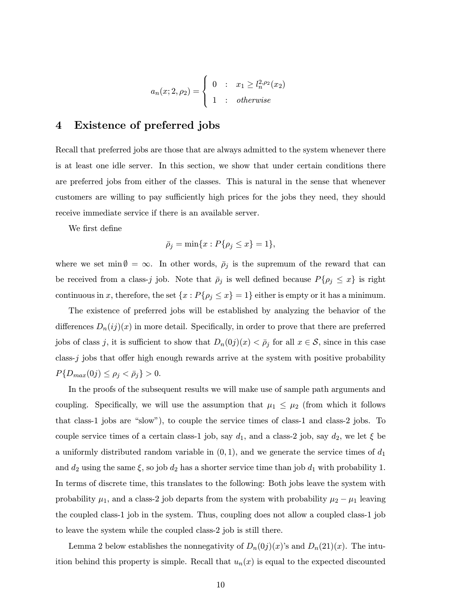$$
a_n(x; 2, \rho_2) = \begin{cases} 0 & : x_1 \ge l_n^{2, \rho_2}(x_2) \\ 1 & : \text{otherwise} \end{cases}
$$

## 4 Existence of preferred jobs

Recall that preferred jobs are those that are always admitted to the system whenever there is at least one idle server. In this section, we show that under certain conditions there are preferred jobs from either of the classes. This is natural in the sense that whenever customers are willing to pay sufficiently high prices for the jobs they need, they should receive immediate service if there is an available server.

We first define

$$
\bar{\rho}_j = \min\{x : P\{\rho_j \le x\} = 1\},\
$$

where we set min  $\emptyset = \infty$ . In other words,  $\overline{\rho}_j$  is the supremum of the reward that can be received from a class-j job. Note that  $\bar{\rho}_j$  is well defined because  $P\{\rho_j \leq x\}$  is right continuous in x, therefore, the set  $\{x : P\{\rho_j \leq x\} = 1\}$  either is empty or it has a minimum.

The existence of preferred jobs will be established by analyzing the behavior of the differences  $D_n(ij)(x)$  in more detail. Specifically, in order to prove that there are preferred jobs of class j, it is sufficient to show that  $D_n(0j)(x) < \bar{p}_j$  for all  $x \in S$ , since in this case class-j jobs that offer high enough rewards arrive at the system with positive probability  $P\{D_{max}(0j) \leq \rho_j < \bar{\rho}_j\} > 0.$ 

In the proofs of the subsequent results we will make use of sample path arguments and coupling. Specifically, we will use the assumption that  $\mu_1 \leq \mu_2$  (from which it follows that class-1 jobs are "slow"), to couple the service times of class-1 and class-2 jobs. To couple service times of a certain class-1 job, say  $d_1$ , and a class-2 job, say  $d_2$ , we let  $\xi$  be a uniformly distributed random variable in  $(0, 1)$ , and we generate the service times of  $d_1$ and  $d_2$  using the same  $\xi$ , so job  $d_2$  has a shorter service time than job  $d_1$  with probability 1. In terms of discrete time, this translates to the following: Both jobs leave the system with probability  $\mu_1$ , and a class-2 job departs from the system with probability  $\mu_2 - \mu_1$  leaving the coupled class-1 job in the system. Thus, coupling does not allow a coupled class-1 job to leave the system while the coupled class-2 job is still there.

Lemma 2 below establishes the nonnegativity of  $D_n(0j)(x)$ 's and  $D_n(21)(x)$ . The intuition behind this property is simple. Recall that  $u_n(x)$  is equal to the expected discounted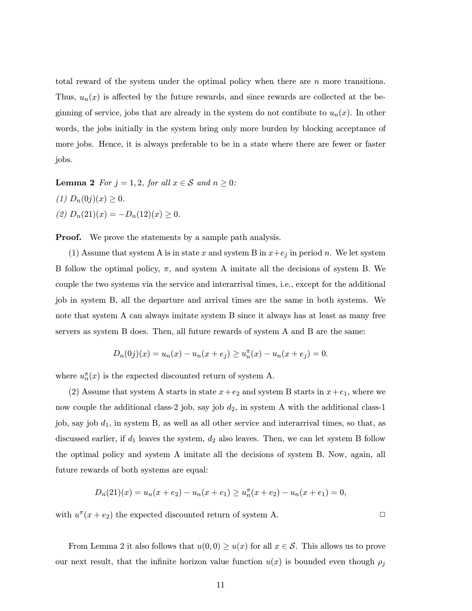total reward of the system under the optimal policy when there are  $n$  more transitions. Thus,  $u_n(x)$  is affected by the future rewards, and since rewards are collected at the beginning of service, jobs that are already in the system do not contibute to  $u_n(x)$ . In other words, the jobs initially in the system bring only more burden by blocking acceptance of more jobs. Hence, it is always preferable to be in a state where there are fewer or faster jobs.

Lemma 2 For  $j = 1, 2$ , for all  $x \in S$  and  $n \geq 0$ : (1)  $D_n(0j)(x) \geq 0$ . (2)  $D_n(21)(x) = -D_n(12)(x) \ge 0.$ 

**Proof.** We prove the statements by a sample path analysis.

(1) Assume that system A is in state x and system B in  $x+e_j$  in period n. We let system B follow the optimal policy,  $\pi$ , and system A imitate all the decisions of system B. We couple the two systems via the service and interarrival times, i.e., except for the additional job in system B, all the departure and arrival times are the same in both systems. We note that system A can always imitate system B since it always has at least as many free servers as system B does. Then, all future rewards of system A and B are the same:

$$
D_n(0j)(x) = u_n(x) - u_n(x + e_j) \ge u_n^{\pi}(x) - u_n(x + e_j) = 0.
$$

where  $u_n^{\pi}(x)$  is the expected discounted return of system A.

(2) Assume that system A starts in state  $x+e_2$  and system B starts in  $x+e_1$ , where we now couple the additional class-2 job, say job  $d_2$ , in system A with the additional class-1 job, say job  $d_1$ , in system B, as well as all other service and interarrival times, so that, as discussed earlier, if  $d_1$  leaves the system,  $d_2$  also leaves. Then, we can let system B follow the optimal policy and system A imitate all the decisions of system B. Now, again, all future rewards of both systems are equal:

$$
D_n(21)(x) = u_n(x + e_2) - u_n(x + e_1) \ge u_n^{\pi}(x + e_2) - u_n(x + e_1) = 0,
$$

with  $u^{\pi}(x + e_2)$  the expected discounted return of system A.

From Lemma 2 it also follows that  $u(0,0) \geq u(x)$  for all  $x \in S$ . This allows us to prove our next result, that the infinite horizon value function  $u(x)$  is bounded even though  $\rho_j$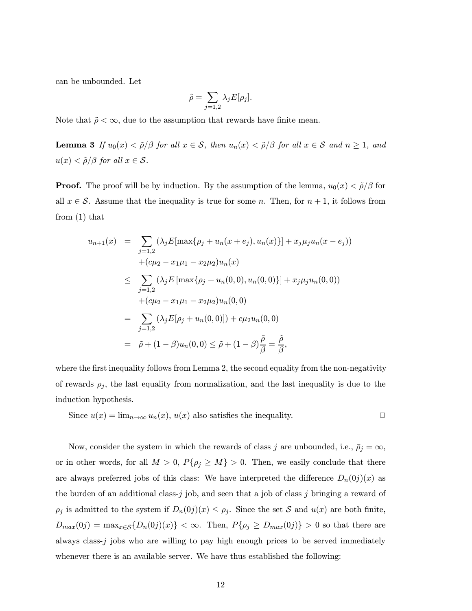can be unbounded. Let

$$
\tilde{\rho} = \sum_{j=1,2} \lambda_j E[\rho_j].
$$

Note that  $\tilde{\rho} < \infty$ , due to the assumption that rewards have finite mean.

Lemma 3 If  $u_0(x) < \tilde{\rho}/\beta$  for all  $x \in S$ , then  $u_n(x) < \tilde{\rho}/\beta$  for all  $x \in S$  and  $n \ge 1$ , and  $u(x) < \tilde{\rho}/\beta$  for all  $x \in \mathcal{S}$ .

**Proof.** The proof will be by induction. By the assumption of the lemma,  $u_0(x) < \tilde{\rho}/\beta$  for all  $x \in \mathcal{S}$ . Assume that the inequality is true for some n. Then, for  $n + 1$ , it follows from from (1) that

$$
u_{n+1}(x) = \sum_{j=1,2} (\lambda_j E[\max\{\rho_j + u_n(x + e_j), u_n(x)\}] + x_j \mu_j u_n(x - e_j))
$$
  
+  $(c\mu_2 - x_1\mu_1 - x_2\mu_2)u_n(x)$   

$$
\leq \sum_{j=1,2} (\lambda_j E[\max\{\rho_j + u_n(0,0), u_n(0,0)\}] + x_j \mu_j u_n(0,0))
$$
  
+  $(c\mu_2 - x_1\mu_1 - x_2\mu_2)u_n(0,0)$   

$$
= \sum_{j=1,2} (\lambda_j E[\rho_j + u_n(0,0)]) + c\mu_2 u_n(0,0)
$$
  

$$
= \tilde{\rho} + (1 - \beta)u_n(0,0) \leq \tilde{\rho} + (1 - \beta)\frac{\tilde{\rho}}{\beta} = \frac{\tilde{\rho}}{\beta},
$$

where the first inequality follows from Lemma 2, the second equality from the non-negativity of rewards  $\rho_j$ , the last equality from normalization, and the last inequality is due to the induction hypothesis.

Since 
$$
u(x) = \lim_{n \to \infty} u_n(x)
$$
,  $u(x)$  also satisfies the inequality.

Now, consider the system in which the rewards of class j are unbounded, i.e.,  $\bar{\rho}_j = \infty$ , or in other words, for all  $M > 0$ ,  $P\{\rho_j \geq M\} > 0$ . Then, we easily conclude that there are always preferred jobs of this class: We have interpreted the difference  $D_n(0j)(x)$  as the burden of an additional class- $j$  job, and seen that a job of class  $j$  bringing a reward of  $\rho_j$  is admitted to the system if  $D_n(0j)(x) \leq \rho_j$ . Since the set S and  $u(x)$  are both finite,  $D_{max}(0j) = \max_{x \in \mathcal{S}} \{D_n(0j)(x)\} < \infty$ . Then,  $P\{\rho_j \geq D_{max}(0j)\} > 0$  so that there are always class- $j$  jobs who are willing to pay high enough prices to be served immediately whenever there is an available server. We have thus established the following: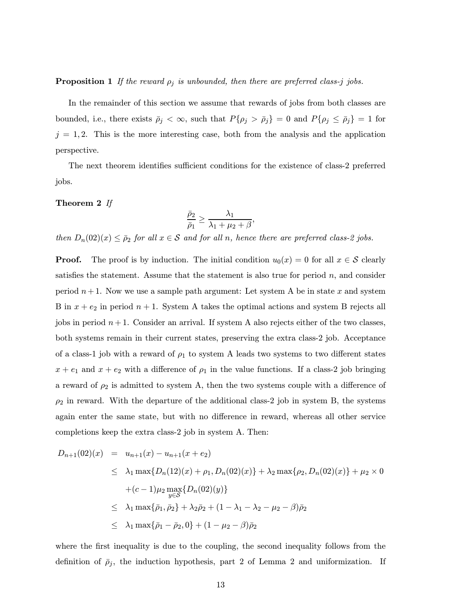#### **Proposition 1** If the reward  $\rho_j$  is unbounded, then there are preferred class-j jobs.

In the remainder of this section we assume that rewards of jobs from both classes are bounded, i.e., there exists  $\bar{\rho}_j < \infty$ , such that  $P\{\rho_j > \bar{\rho}_j\} = 0$  and  $P\{\rho_j \le \bar{\rho}_j\} = 1$  for  $j = 1, 2$ . This is the more interesting case, both from the analysis and the application perspective.

The next theorem identifies sufficient conditions for the existence of class-2 preferred jobs.

#### Theorem 2 If

$$
\frac{\bar{\rho}_2}{\bar{\rho}_1} \ge \frac{\lambda_1}{\lambda_1 + \mu_2 + \beta},
$$

then  $D_n(02)(x) \leq \bar{p}_2$  for all  $x \in \mathcal{S}$  and for all n, hence there are preferred class-2 jobs.

**Proof.** The proof is by induction. The initial condition  $u_0(x) = 0$  for all  $x \in S$  clearly satisfies the statement. Assume that the statement is also true for period  $n$ , and consider period  $n+1$ . Now we use a sample path argument: Let system A be in state x and system B in  $x + e_2$  in period  $n + 1$ . System A takes the optimal actions and system B rejects all jobs in period  $n+1$ . Consider an arrival. If system A also rejects either of the two classes, both systems remain in their current states, preserving the extra class-2 job. Acceptance of a class-1 job with a reward of  $\rho_1$  to system A leads two systems to two different states  $x + e_1$  and  $x + e_2$  with a difference of  $\rho_1$  in the value functions. If a class-2 job bringing a reward of  $\rho_2$  is admitted to system A, then the two systems couple with a difference of  $\rho_2$  in reward. With the departure of the additional class-2 job in system B, the systems again enter the same state, but with no difference in reward, whereas all other service completions keep the extra class-2 job in system A. Then:

$$
D_{n+1}(02)(x) = u_{n+1}(x) - u_{n+1}(x + e_2)
$$
  
\n
$$
\leq \lambda_1 \max\{D_n(12)(x) + \rho_1, D_n(02)(x)\} + \lambda_2 \max\{\rho_2, D_n(02)(x)\} + \mu_2 \times 0
$$
  
\n
$$
+(c-1)\mu_2 \max_{y \in S} \{D_n(02)(y)\}
$$
  
\n
$$
\leq \lambda_1 \max\{\bar{\rho}_1, \bar{\rho}_2\} + \lambda_2 \bar{\rho}_2 + (1 - \lambda_1 - \lambda_2 - \mu_2 - \beta)\bar{\rho}_2
$$
  
\n
$$
\leq \lambda_1 \max\{\bar{\rho}_1 - \bar{\rho}_2, 0\} + (1 - \mu_2 - \beta)\bar{\rho}_2
$$

where the first inequality is due to the coupling, the second inequality follows from the definition of  $\bar{\rho}_j$ , the induction hypothesis, part 2 of Lemma 2 and uniformization. If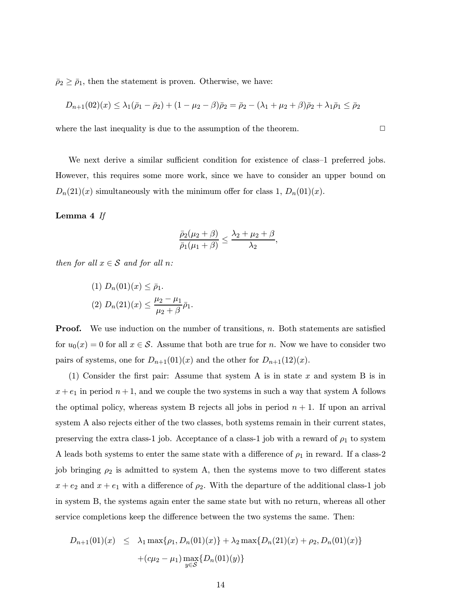$\bar{\rho}_2 \geq \bar{\rho}_1$ , then the statement is proven. Otherwise, we have:

$$
D_{n+1}(02)(x) \leq \lambda_1(\bar{p}_1 - \bar{p}_2) + (1 - \mu_2 - \beta)\bar{p}_2 = \bar{p}_2 - (\lambda_1 + \mu_2 + \beta)\bar{p}_2 + \lambda_1\bar{p}_1 \leq \bar{p}_2
$$

where the last inequality is due to the assumption of the theorem.  $\Box$ 

We next derive a similar sufficient condition for existence of class-1 preferred jobs. However, this requires some more work, since we have to consider an upper bound on  $D_n(21)(x)$  simultaneously with the minimum offer for class 1,  $D_n(01)(x)$ .

#### Lemma 4 If

$$
\frac{\bar{\rho}_2(\mu_2+\beta)}{\bar{\rho}_1(\mu_1+\beta)} \le \frac{\lambda_2+\mu_2+\beta}{\lambda_2},
$$

then for all  $x \in S$  and for all n:

(1) 
$$
D_n(01)(x) \leq \bar{\rho}_1
$$
.  
\n(2)  $D_n(21)(x) \leq \frac{\mu_2 - \mu_1}{\mu_2 + \beta} \bar{\rho}_1$ .

**Proof.** We use induction on the number of transitions, n. Both statements are satisfied for  $u_0(x) = 0$  for all  $x \in S$ . Assume that both are true for n. Now we have to consider two pairs of systems, one for  $D_{n+1}(01)(x)$  and the other for  $D_{n+1}(12)(x)$ .

(1) Consider the first pair: Assume that system A is in state x and system B is in  $x + e_1$  in period  $n + 1$ , and we couple the two systems in such a way that system A follows the optimal policy, whereas system B rejects all jobs in period  $n + 1$ . If upon an arrival system A also rejects either of the two classes, both systems remain in their current states, preserving the extra class-1 job. Acceptance of a class-1 job with a reward of  $\rho_1$  to system A leads both systems to enter the same state with a difference of  $\rho_1$  in reward. If a class-2 job bringing  $\rho_2$  is admitted to system A, then the systems move to two different states  $x + e_2$  and  $x + e_1$  with a difference of  $\rho_2$ . With the departure of the additional class-1 job in system B, the systems again enter the same state but with no return, whereas all other service completions keep the difference between the two systems the same. Then:

$$
D_{n+1}(01)(x) \leq \lambda_1 \max\{\rho_1, D_n(01)(x)\} + \lambda_2 \max\{D_n(21)(x) + \rho_2, D_n(01)(x)\}
$$

$$
+ (c\mu_2 - \mu_1) \max_{y \in \mathcal{S}} \{D_n(01)(y)\}
$$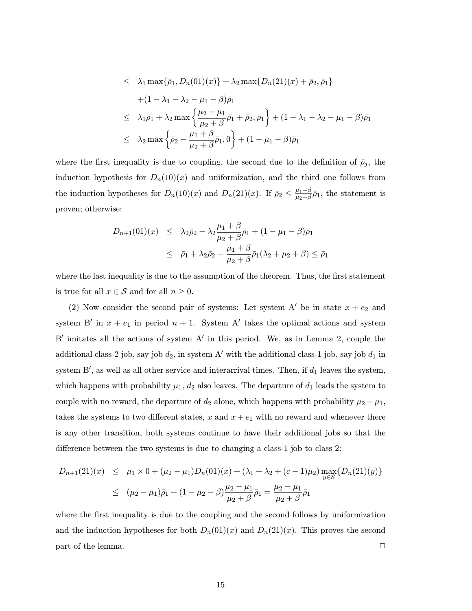$$
\leq \lambda_1 \max\{\bar{\rho}_1, D_n(01)(x)\} + \lambda_2 \max\{D_n(21)(x) + \bar{\rho}_2, \bar{\rho}_1\}
$$
  
+  $(1 - \lambda_1 - \lambda_2 - \mu_1 - \beta)\bar{\rho}_1$   

$$
\leq \lambda_1 \bar{\rho}_1 + \lambda_2 \max\left\{\frac{\mu_2 - \mu_1}{\mu_2 + \beta} \bar{\rho}_1 + \bar{\rho}_2, \bar{\rho}_1\right\} + (1 - \lambda_1 - \lambda_2 - \mu_1 - \beta)\bar{\rho}_1
$$
  

$$
\leq \lambda_2 \max\left\{\bar{\rho}_2 - \frac{\mu_1 + \beta}{\mu_2 + \beta} \bar{\rho}_1, 0\right\} + (1 - \mu_1 - \beta)\bar{\rho}_1
$$

where the first inequality is due to coupling, the second due to the definition of  $\bar{\rho}_j$ , the induction hypothesis for  $D_n(10)(x)$  and uniformization, and the third one follows from the induction hypotheses for  $D_n(10)(x)$  and  $D_n(21)(x)$ . If  $\bar{p}_2 \leq \frac{\mu_1+\beta}{\mu_2+\beta}\bar{p}_1$ , the statement is proven; otherwise:

$$
D_{n+1}(01)(x) \leq \lambda_2 \bar{\rho}_2 - \lambda_2 \frac{\mu_1 + \beta}{\mu_2 + \beta} \bar{\rho}_1 + (1 - \mu_1 - \beta) \bar{\rho}_1
$$
  

$$
\leq \bar{\rho}_1 + \lambda_2 \bar{\rho}_2 - \frac{\mu_1 + \beta}{\mu_2 + \beta} \bar{\rho}_1 (\lambda_2 + \mu_2 + \beta) \leq \bar{\rho}_1
$$

where the last inequality is due to the assumption of the theorem. Thus, the first statement is true for all  $x \in \mathcal{S}$  and for all  $n \geq 0$ .

(2) Now consider the second pair of systems: Let system A' be in state  $x + e_2$  and system B' in  $x + e_1$  in period  $n + 1$ . System A' takes the optimal actions and system B' imitates all the actions of system  $A'$  in this period. We, as in Lemma 2, couple the additional class-2 job, say job  $d_2$ , in system A' with the additional class-1 job, say job  $d_1$  in system B', as well as all other service and interarrival times. Then, if  $d_1$  leaves the system, which happens with probability  $\mu_1$ ,  $d_2$  also leaves. The departure of  $d_1$  leads the system to couple with no reward, the departure of  $d_2$  alone, which happens with probability  $\mu_2 - \mu_1$ , takes the systems to two different states, x and  $x + e_1$  with no reward and whenever there is any other transition, both systems continue to have their additional jobs so that the difference between the two systems is due to changing a class-1 job to class 2:

$$
D_{n+1}(21)(x) \leq \mu_1 \times 0 + (\mu_2 - \mu_1)D_n(01)(x) + (\lambda_1 + \lambda_2 + (c-1)\mu_2) \max_{y \in \mathcal{S}} \{D_n(21)(y)\}
$$
  

$$
\leq (\mu_2 - \mu_1)\bar{\rho}_1 + (1 - \mu_2 - \beta) \frac{\mu_2 - \mu_1}{\mu_2 + \beta} \bar{\rho}_1 = \frac{\mu_2 - \mu_1}{\mu_2 + \beta} \bar{\rho}_1
$$

where the first inequality is due to the coupling and the second follows by uniformization and the induction hypotheses for both  $D_n(01)(x)$  and  $D_n(21)(x)$ . This proves the second  $\Box$  part of the lemma.  $\Box$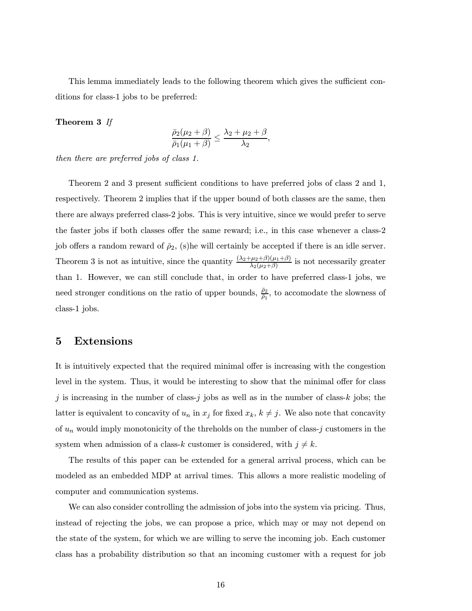This lemma immediately leads to the following theorem which gives the sufficient conditions for class-1 jobs to be preferred:

#### Theorem 3 If

$$
\frac{\bar{\rho}_2(\mu_2+\beta)}{\bar{\rho}_1(\mu_1+\beta)}\leq \frac{\lambda_2+\mu_2+\beta}{\lambda_2},
$$

then there are preferred jobs of class 1.

Theorem 2 and 3 present sufficient conditions to have preferred jobs of class 2 and 1, respectively. Theorem 2 implies that if the upper bound of both classes are the same, then there are always preferred class-2 jobs. This is very intuitive, since we would prefer to serve the faster jobs if both classes offer the same reward; i.e., in this case whenever a class-2 job offers a random reward of  $\bar{\rho}_2$ , (s)he will certainly be accepted if there is an idle server. Theorem 3 is not as intuitive, since the quantity  $\frac{(\lambda_2+\mu_2+\beta)(\mu_1+\beta)}{\lambda_2(\mu_2+\beta)}$  is not necessarily greater than 1. However, we can still conclude that, in order to have preferred class-1 jobs, we need stronger conditions on the ratio of upper bounds,  $\frac{\bar{\rho}_2}{\bar{\rho}_1}$ , to accomodate the slowness of class-1 jobs.

## 5 Extensions

It is intuitively expected that the required minimal offer is increasing with the congestion level in the system. Thus, it would be interesting to show that the minimal offer for class j is increasing in the number of class-j jobs as well as in the number of class-k jobs; the latter is equivalent to concavity of  $u_n$  in  $x_j$  for fixed  $x_k$ ,  $k \neq j$ . We also note that concavity of  $u_n$  would imply monotonicity of the threholds on the number of class-j customers in the system when admission of a class-k customer is considered, with  $j \neq k$ .

The results of this paper can be extended for a general arrival process, which can be modeled as an embedded MDP at arrival times. This allows a more realistic modeling of computer and communication systems.

We can also consider controlling the admission of jobs into the system via pricing. Thus, instead of rejecting the jobs, we can propose a price, which may or may not depend on the state of the system, for which we are willing to serve the incoming job. Each customer class has a probability distribution so that an incoming customer with a request for job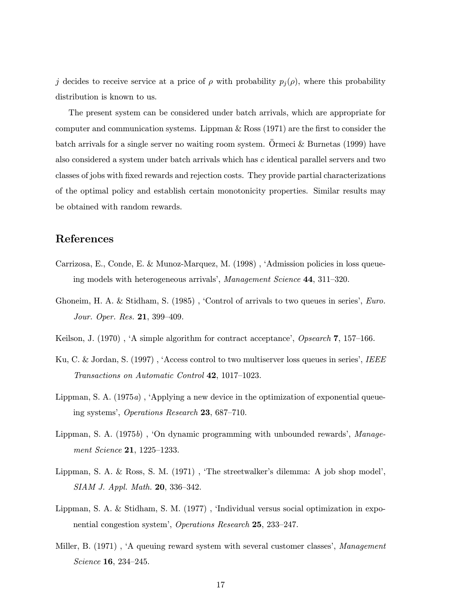j decides to receive service at a price of  $\rho$  with probability  $p_j(\rho)$ , where this probability distribution is known to us.

The present system can be considered under batch arrivals, which are appropriate for computer and communication systems. Lippman & Ross (1971) are the first to consider the batch arrivals for a single server no waiting room system. Ormeci  $&$  Burnetas (1999) have also considered a system under batch arrivals which has c identical parallel servers and two classes of jobs with fixed rewards and rejection costs. They provide partial characterizations of the optimal policy and establish certain monotonicity properties. Similar results may be obtained with random rewards.

## References

- Carrizosa, E., Conde, E. & Munoz-Marquez, M. (1998) , ëAdmission policies in loss queueing models with heterogeneous arrivals', Management Science 44, 311-320.
- Ghoneim, H. A. & Stidham, S.  $(1985)$ , 'Control of arrivals to two queues in series', *Euro*. Jour. Oper. Res.  $21, 399-409$ .
- Keilson, J. (1970), 'A simple algorithm for contract acceptance', Opsearch  $7, 157-166$ .
- Ku, C. & Jordan, S. (1997), 'Access control to two multiserver loss queues in series', IEEE Transactions on Automatic Control  $42$ , 1017–1023.
- Lippman, S. A. (1975a), 'Applying a new device in the optimization of exponential queueing systems', Operations Research 23,  $687-710$ .
- Lippman, S. A.  $(1975b)$ , 'On dynamic programming with unbounded rewards', Management Science 21, 1225-1233.
- Lippman, S. A.  $\&$  Ross, S. M. (1971), 'The streetwalker's dilemma: A job shop model', SIAM J. Appl. Math. 20, 336-342.
- Lippman, S. A. & Stidham, S. M. (1977), 'Individual versus social optimization in exponential congestion system', Operations Research 25, 233-247.
- Miller, B.  $(1971)$ , 'A queuing reward system with several customer classes', *Management*  $Science$  16, 234–245.